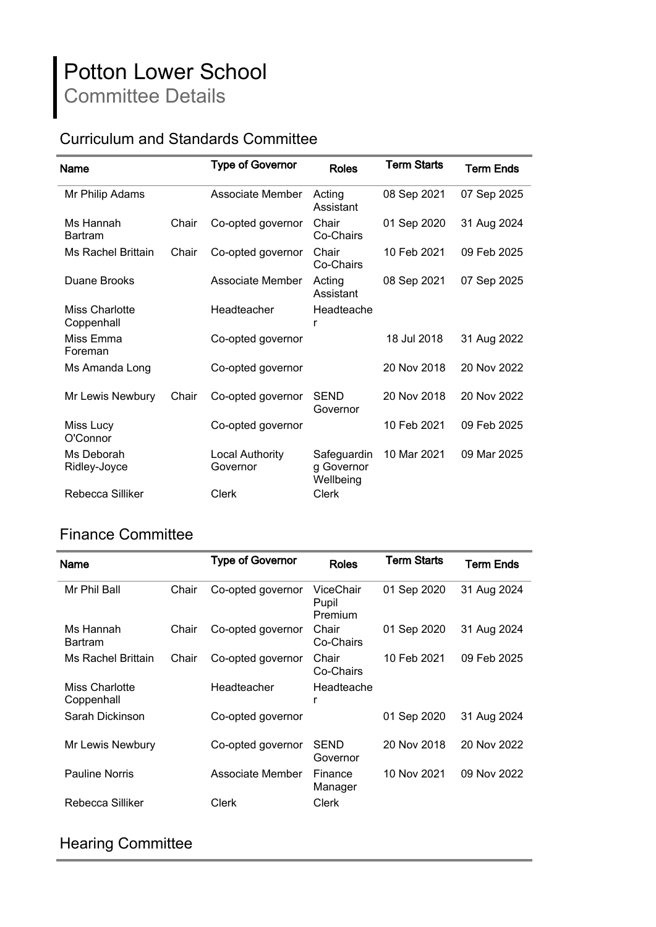# Potton Lower School Committee Details

### Curriculum and Standards Committee

| <b>Name</b>                  |       | <b>Type of Governor</b>            | Roles                                  | <b>Term Starts</b> | <b>Term Ends</b> |
|------------------------------|-------|------------------------------------|----------------------------------------|--------------------|------------------|
| Mr Philip Adams              |       | Associate Member                   | Acting<br>Assistant                    | 08 Sep 2021        | 07 Sep 2025      |
| Ms Hannah<br><b>Bartram</b>  | Chair | Co-opted governor                  | Chair<br>Co-Chairs                     | 01 Sep 2020        | 31 Aug 2024      |
| Ms Rachel Brittain           | Chair | Co-opted governor                  | Chair<br>Co-Chairs                     | 10 Feb 2021        | 09 Feb 2025      |
| Duane Brooks                 |       | Associate Member                   | Acting<br>Assistant                    | 08 Sep 2021        | 07 Sep 2025      |
| Miss Charlotte<br>Coppenhall |       | Headteacher                        | Headteache<br>r                        |                    |                  |
| Miss Emma<br>Foreman         |       | Co-opted governor                  |                                        | 18 Jul 2018        | 31 Aug 2022      |
| Ms Amanda Long               |       | Co-opted governor                  |                                        | 20 Nov 2018        | 20 Nov 2022      |
| Mr Lewis Newbury             | Chair | Co-opted governor                  | <b>SEND</b><br>Governor                | 20 Nov 2018        | 20 Nov 2022      |
| Miss Lucy<br>O'Connor        |       | Co-opted governor                  |                                        | 10 Feb 2021        | 09 Feb 2025      |
| Ms Deborah<br>Ridley-Joyce   |       | <b>Local Authority</b><br>Governor | Safeguardin<br>g Governor<br>Wellbeing | 10 Mar 2021        | 09 Mar 2025      |
| Rebecca Silliker             |       | Clerk                              | <b>Clerk</b>                           |                    |                  |

#### Finance Committee

| Name                         |       | <b>Type of Governor</b> | <b>Roles</b>                  | <b>Term Starts</b> | Term Ends   |
|------------------------------|-------|-------------------------|-------------------------------|--------------------|-------------|
| Mr Phil Ball                 | Chair | Co-opted governor       | ViceChair<br>Pupil<br>Premium | 01 Sep 2020        | 31 Aug 2024 |
| Ms Hannah<br><b>Bartram</b>  | Chair | Co-opted governor       | Chair<br>Co-Chairs            | 01 Sep 2020        | 31 Aug 2024 |
| Ms Rachel Brittain           | Chair | Co-opted governor       | Chair<br>Co-Chairs            | 10 Feb 2021        | 09 Feb 2025 |
| Miss Charlotte<br>Coppenhall |       | Headteacher             | Headteache<br>r               |                    |             |
| Sarah Dickinson              |       | Co-opted governor       |                               | 01 Sep 2020        | 31 Aug 2024 |
| Mr Lewis Newbury             |       | Co-opted governor       | <b>SEND</b><br>Governor       | 20 Nov 2018        | 20 Nov 2022 |
| <b>Pauline Norris</b>        |       | Associate Member        | Finance<br>Manager            | 10 Nov 2021        | 09 Nov 2022 |
| Rebecca Silliker             |       | Clerk                   | Clerk                         |                    |             |

#### Hearing Committee